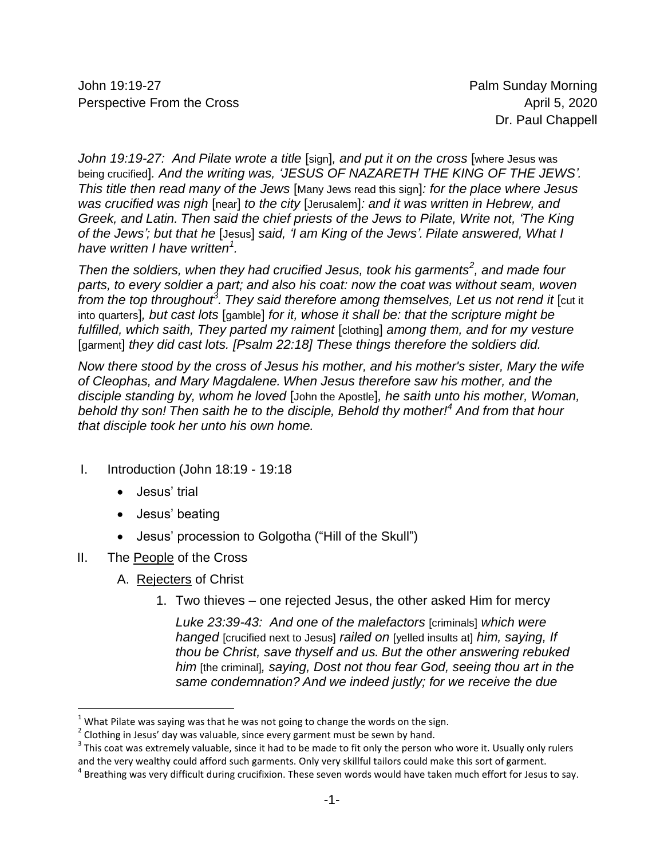John 19:19-27 Palm Sunday Morning Perspective From the Cross **April 5, 2020 April 5, 2020** 

*John 19:19-27: And Pilate wrote a title* [sign]*, and put it on the cross* [where Jesus was being crucified]*. And the writing was, 'JESUS OF NAZARETH THE KING OF THE JEWS'. This title then read many of the Jews* [Many Jews read this sign]*: for the place where Jesus was crucified was nigh* [near] *to the city* [Jerusalem]*: and it was written in Hebrew, and Greek, and Latin. Then said the chief priests of the Jews to Pilate, Write not, 'The King of the Jews'; but that he* [Jesus] *said, 'I am King of the Jews'. Pilate answered, What I have written I have written<sup>1</sup> .*

*Then the soldiers, when they had crucified Jesus, took his garments<sup>2</sup> , and made four parts, to every soldier a part; and also his coat: now the coat was without seam, woven from the top throughout<sup>3</sup> . They said therefore among themselves, Let us not rend it* [cut it into quarters]*, but cast lots* [gamble] *for it, whose it shall be: that the scripture might be fulfilled, which saith, They parted my raiment* [clothing] *among them, and for my vesture*  [garment] *they did cast lots. [Psalm 22:18] These things therefore the soldiers did.*

*Now there stood by the cross of Jesus his mother, and his mother's sister, Mary the wife of Cleophas, and Mary Magdalene. When Jesus therefore saw his mother, and the disciple standing by, whom he loved* [John the Apostle]*, he saith unto his mother, Woman, behold thy son! Then saith he to the disciple, Behold thy mother!<sup>4</sup> And from that hour that disciple took her unto his own home.*

- I. Introduction (John 18:19 19:18
	- Jesus' trial
	- Jesus' beating
	- Jesus' procession to Golgotha ("Hill of the Skull")
- II. The People of the Cross

 $\overline{\phantom{a}}$ 

- A. Rejecters of Christ
	- 1. Two thieves one rejected Jesus, the other asked Him for mercy

*Luke 23:39-43: And one of the malefactors* [criminals] *which were hanged* [crucified next to Jesus] *railed on* [yelled insults at] *him, saying, If thou be Christ, save thyself and us. But the other answering rebuked him* [the criminal]*, saying, Dost not thou fear God, seeing thou art in the same condemnation? And we indeed justly; for we receive the due* 

 $1$  What Pilate was saying was that he was not going to change the words on the sign.

 $^{2}$  Clothing in Jesus' day was valuable, since every garment must be sewn by hand.

 $3$  This coat was extremely valuable, since it had to be made to fit only the person who wore it. Usually only rulers and the very wealthy could afford such garments. Only very skillful tailors could make this sort of garment.

<sup>&</sup>lt;sup>4</sup> Breathing was very difficult during crucifixion. These seven words would have taken much effort for Jesus to say.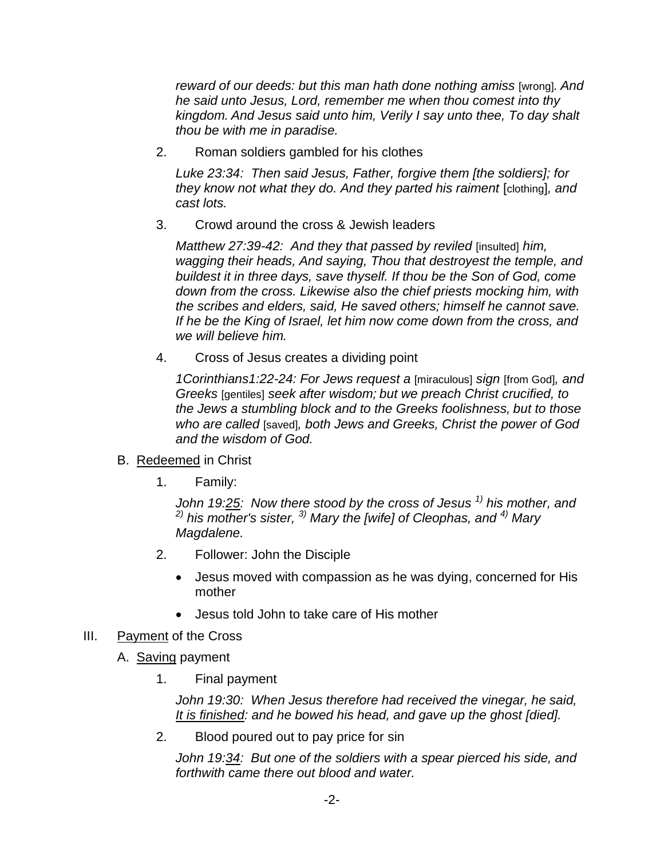*reward of our deeds: but this man hath done nothing amiss* [wrong]*. And he said unto Jesus, Lord, remember me when thou comest into thy kingdom. And Jesus said unto him, Verily I say unto thee, To day shalt thou be with me in paradise.*

2. Roman soldiers gambled for his clothes

*Luke 23:34: Then said Jesus, Father, forgive them [the soldiers]; for they know not what they do. And they parted his raiment* [clothing]*, and cast lots.*

3. Crowd around the cross & Jewish leaders

*Matthew 27:39-42: And they that passed by reviled* [insulted] *him, wagging their heads, And saying, Thou that destroyest the temple, and buildest it in three days, save thyself. If thou be the Son of God, come down from the cross. Likewise also the chief priests mocking him, with the scribes and elders, said, He saved others; himself he cannot save. If he be the King of Israel, let him now come down from the cross, and we will believe him.*

4. Cross of Jesus creates a dividing point

*1Corinthians1:22-24: For Jews request a* [miraculous] *sign* [from God]*, and Greeks* [gentiles] *seek after wisdom; but we preach Christ crucified, to the Jews a stumbling block and to the Greeks foolishness, but to those who are called* [saved]*, both Jews and Greeks, Christ the power of God and the wisdom of God.*

- B. Redeemed in Christ
	- 1. Family:

*John 19:25: Now there stood by the cross of Jesus 1) his mother, and 2) his mother's sister, 3) Mary the [wife] of Cleophas, and 4) Mary Magdalene.*

- 2. Follower: John the Disciple
	- Jesus moved with compassion as he was dying, concerned for His mother
	- Jesus told John to take care of His mother
- III. Payment of the Cross
	- A. Saving payment
		- 1. Final payment

*John 19:30: When Jesus therefore had received the vinegar, he said, It is finished: and he bowed his head, and gave up the ghost [died].*

2. Blood poured out to pay price for sin

*John 19:34: But one of the soldiers with a spear pierced his side, and forthwith came there out blood and water.*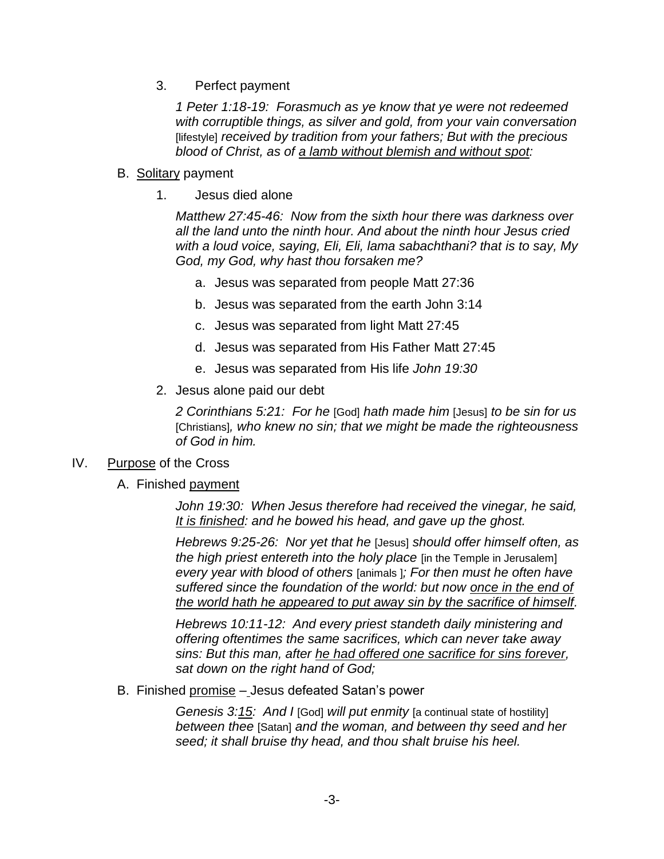3. Perfect payment

*1 Peter 1:18-19: Forasmuch as ye know that ye were not redeemed with corruptible things, as silver and gold, from your vain conversation*  [lifestyle] *received by tradition from your fathers; But with the precious blood of Christ, as of a lamb without blemish and without spot:*

- B. Solitary payment
	- 1. Jesus died alone

*Matthew 27:45-46: Now from the sixth hour there was darkness over all the land unto the ninth hour. And about the ninth hour Jesus cried with a loud voice, saying, Eli, Eli, lama sabachthani? that is to say, My God, my God, why hast thou forsaken me?*

- a. Jesus was separated from people Matt 27:36
- b. Jesus was separated from the earth John 3:14
- c. Jesus was separated from light Matt 27:45
- d. Jesus was separated from His Father Matt 27:45
- e. Jesus was separated from His life *John 19:30*
- 2. Jesus alone paid our debt

*2 Corinthians 5:21: For he* [God] *hath made him* [Jesus] *to be sin for us* [Christians]*, who knew no sin; that we might be made the righteousness of God in him.*

#### IV. Purpose of the Cross

A. Finished payment

*John 19:30: When Jesus therefore had received the vinegar, he said, It is finished: and he bowed his head, and gave up the ghost.*

*Hebrews 9:25-26: Nor yet that he* [Jesus] *should offer himself often, as the high priest entereth into the holy place* [in the Temple in Jerusalem] *every year with blood of others* [animals ]*; For then must he often have suffered since the foundation of the world: but now once in the end of the world hath he appeared to put away sin by the sacrifice of himself.*

*Hebrews 10:11-12: And every priest standeth daily ministering and offering oftentimes the same sacrifices, which can never take away sins: But this man, after he had offered one sacrifice for sins forever, sat down on the right hand of God;*

B. Finished promise - Jesus defeated Satan's power

*Genesis 3:15: And I* [God] *will put enmity* [a continual state of hostility] *between thee* [Satan] *and the woman, and between thy seed and her seed; it shall bruise thy head, and thou shalt bruise his heel.*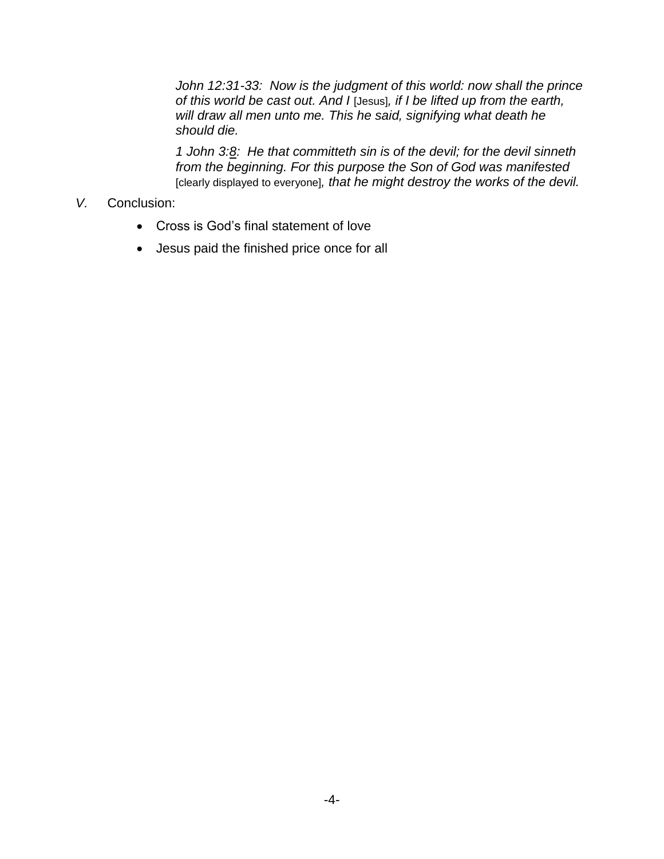*John 12:31-33: Now is the judgment of this world: now shall the prince of this world be cast out. And I* [Jesus]*, if I be lifted up from the earth, will draw all men unto me. This he said, signifying what death he should die.*

*1 John 3:8: He that committeth sin is of the devil; for the devil sinneth from the beginning. For this purpose the Son of God was manifested* [clearly displayed to everyone]*, that he might destroy the works of the devil.*

#### *V.* Conclusion:

- Cross is God's final statement of love
- Jesus paid the finished price once for all